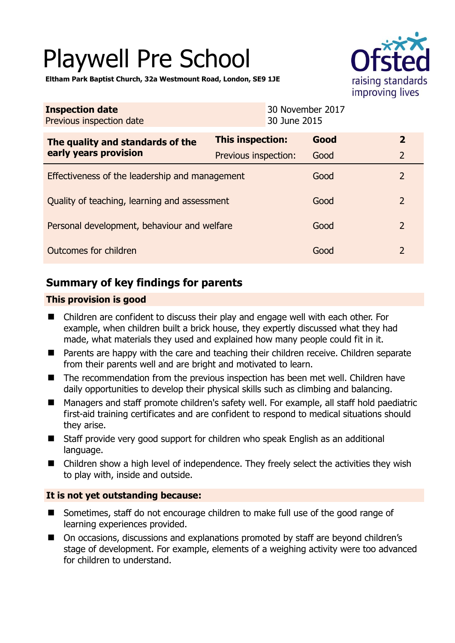# Playwell Pre School



**Eltham Park Baptist Church, 32a Westmount Road, London, SE9 1JE** 

| <b>Inspection date</b><br>Previous inspection date        | 30 June 2015            | 30 November 2017 |                |
|-----------------------------------------------------------|-------------------------|------------------|----------------|
| The quality and standards of the<br>early years provision | <b>This inspection:</b> | Good             | $\mathbf{2}$   |
|                                                           | Previous inspection:    | Good             | $\overline{2}$ |
| Effectiveness of the leadership and management            |                         | Good             | $\overline{2}$ |
| Quality of teaching, learning and assessment              |                         | Good             | $\overline{2}$ |
| Personal development, behaviour and welfare               |                         | Good             | $\mathcal{P}$  |
| Outcomes for children                                     |                         | Good             | $\overline{2}$ |

# **Summary of key findings for parents**

## **This provision is good**

- Children are confident to discuss their play and engage well with each other. For example, when children built a brick house, they expertly discussed what they had made, what materials they used and explained how many people could fit in it.
- Parents are happy with the care and teaching their children receive. Children separate from their parents well and are bright and motivated to learn.
- The recommendation from the previous inspection has been met well. Children have daily opportunities to develop their physical skills such as climbing and balancing.
- Managers and staff promote children's safety well. For example, all staff hold paediatric first-aid training certificates and are confident to respond to medical situations should they arise.
- Staff provide very good support for children who speak English as an additional language.
- Children show a high level of independence. They freely select the activities they wish to play with, inside and outside.

## **It is not yet outstanding because:**

- Sometimes, staff do not encourage children to make full use of the good range of learning experiences provided.
- On occasions, discussions and explanations promoted by staff are beyond children's stage of development. For example, elements of a weighing activity were too advanced for children to understand.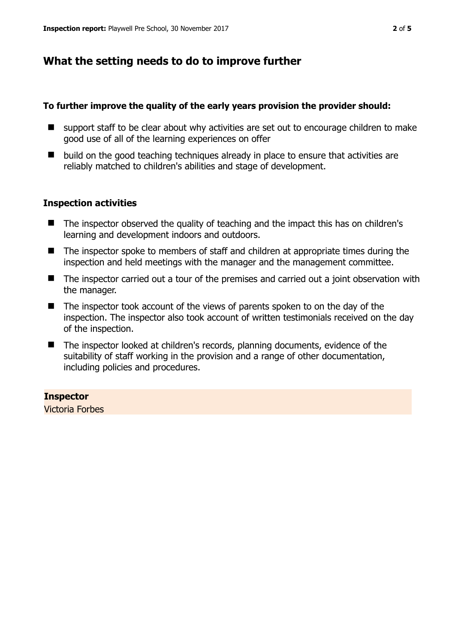## **What the setting needs to do to improve further**

#### **To further improve the quality of the early years provision the provider should:**

- support staff to be clear about why activities are set out to encourage children to make good use of all of the learning experiences on offer
- $\blacksquare$  build on the good teaching techniques already in place to ensure that activities are reliably matched to children's abilities and stage of development.

#### **Inspection activities**

- The inspector observed the quality of teaching and the impact this has on children's learning and development indoors and outdoors.
- The inspector spoke to members of staff and children at appropriate times during the inspection and held meetings with the manager and the management committee.
- The inspector carried out a tour of the premises and carried out a joint observation with the manager.
- The inspector took account of the views of parents spoken to on the day of the inspection. The inspector also took account of written testimonials received on the day of the inspection.
- The inspector looked at children's records, planning documents, evidence of the suitability of staff working in the provision and a range of other documentation, including policies and procedures.

## **Inspector**

Victoria Forbes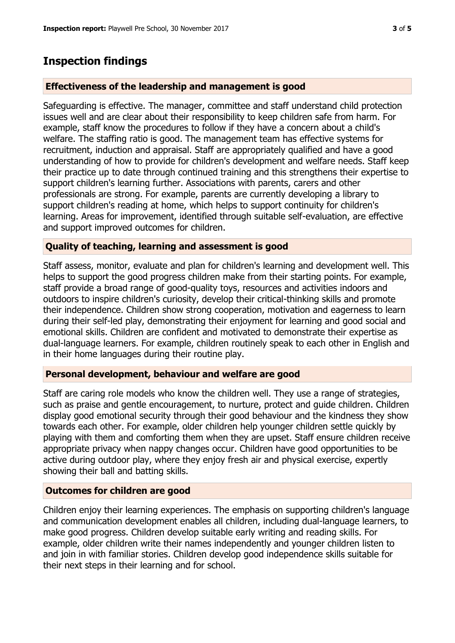## **Inspection findings**

#### **Effectiveness of the leadership and management is good**

Safeguarding is effective. The manager, committee and staff understand child protection issues well and are clear about their responsibility to keep children safe from harm. For example, staff know the procedures to follow if they have a concern about a child's welfare. The staffing ratio is good. The management team has effective systems for recruitment, induction and appraisal. Staff are appropriately qualified and have a good understanding of how to provide for children's development and welfare needs. Staff keep their practice up to date through continued training and this strengthens their expertise to support children's learning further. Associations with parents, carers and other professionals are strong. For example, parents are currently developing a library to support children's reading at home, which helps to support continuity for children's learning. Areas for improvement, identified through suitable self-evaluation, are effective and support improved outcomes for children.

#### **Quality of teaching, learning and assessment is good**

Staff assess, monitor, evaluate and plan for children's learning and development well. This helps to support the good progress children make from their starting points. For example, staff provide a broad range of good-quality toys, resources and activities indoors and outdoors to inspire children's curiosity, develop their critical-thinking skills and promote their independence. Children show strong cooperation, motivation and eagerness to learn during their self-led play, demonstrating their enjoyment for learning and good social and emotional skills. Children are confident and motivated to demonstrate their expertise as dual-language learners. For example, children routinely speak to each other in English and in their home languages during their routine play.

#### **Personal development, behaviour and welfare are good**

Staff are caring role models who know the children well. They use a range of strategies, such as praise and gentle encouragement, to nurture, protect and guide children. Children display good emotional security through their good behaviour and the kindness they show towards each other. For example, older children help younger children settle quickly by playing with them and comforting them when they are upset. Staff ensure children receive appropriate privacy when nappy changes occur. Children have good opportunities to be active during outdoor play, where they enjoy fresh air and physical exercise, expertly showing their ball and batting skills.

#### **Outcomes for children are good**

Children enjoy their learning experiences. The emphasis on supporting children's language and communication development enables all children, including dual-language learners, to make good progress. Children develop suitable early writing and reading skills. For example, older children write their names independently and younger children listen to and join in with familiar stories. Children develop good independence skills suitable for their next steps in their learning and for school.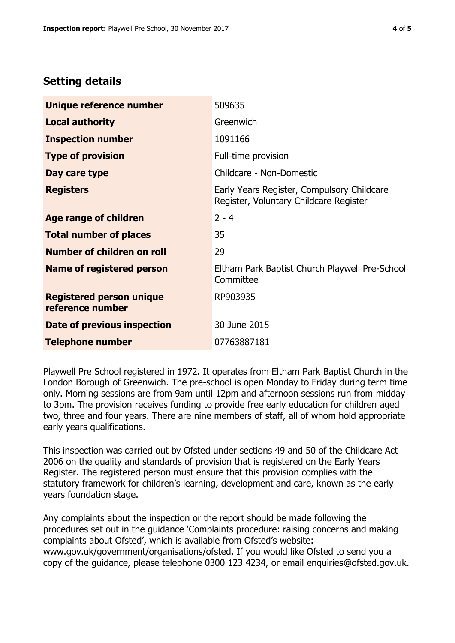# **Setting details**

| Unique reference number                             | 509635                                                                               |  |
|-----------------------------------------------------|--------------------------------------------------------------------------------------|--|
| <b>Local authority</b>                              | Greenwich                                                                            |  |
| <b>Inspection number</b>                            | 1091166                                                                              |  |
| <b>Type of provision</b>                            | Full-time provision                                                                  |  |
| Day care type                                       | Childcare - Non-Domestic                                                             |  |
| <b>Registers</b>                                    | Early Years Register, Compulsory Childcare<br>Register, Voluntary Childcare Register |  |
| <b>Age range of children</b>                        | $2 - 4$                                                                              |  |
| <b>Total number of places</b>                       | 35                                                                                   |  |
| Number of children on roll                          | 29                                                                                   |  |
| Name of registered person                           | Eltham Park Baptist Church Playwell Pre-School<br>Committee                          |  |
| <b>Registered person unique</b><br>reference number | RP903935                                                                             |  |
| Date of previous inspection                         | 30 June 2015                                                                         |  |
| <b>Telephone number</b>                             | 07763887181                                                                          |  |

Playwell Pre School registered in 1972. It operates from Eltham Park Baptist Church in the London Borough of Greenwich. The pre-school is open Monday to Friday during term time only. Morning sessions are from 9am until 12pm and afternoon sessions run from midday to 3pm. The provision receives funding to provide free early education for children aged two, three and four years. There are nine members of staff, all of whom hold appropriate early years qualifications.

This inspection was carried out by Ofsted under sections 49 and 50 of the Childcare Act 2006 on the quality and standards of provision that is registered on the Early Years Register. The registered person must ensure that this provision complies with the statutory framework for children's learning, development and care, known as the early years foundation stage.

Any complaints about the inspection or the report should be made following the procedures set out in the guidance 'Complaints procedure: raising concerns and making complaints about Ofsted', which is available from Ofsted's website: www.gov.uk/government/organisations/ofsted. If you would like Ofsted to send you a copy of the guidance, please telephone 0300 123 4234, or email enquiries@ofsted.gov.uk.